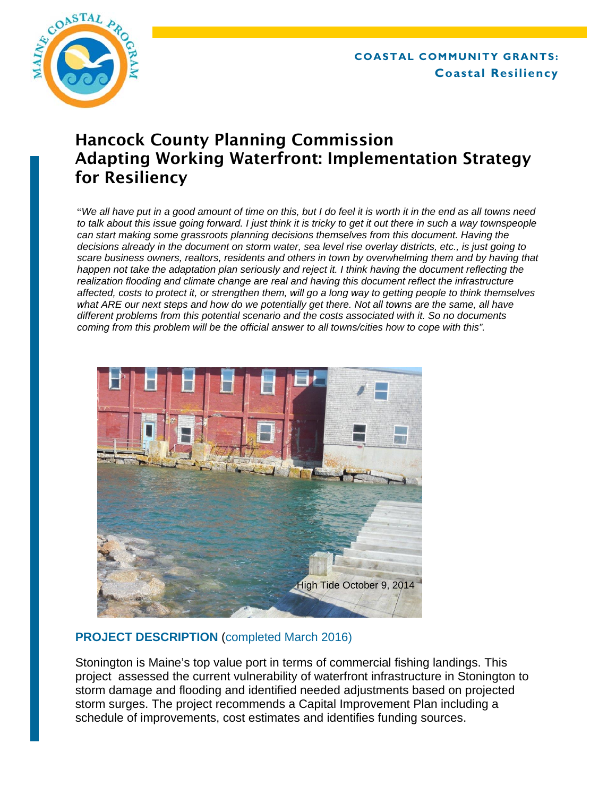

# Hancock County Planning Commission Adapting Working Waterfront: Implementation Strategy for Resiliency

"*We all have put in a good amount of time on this, but I do feel it is worth it in the end as all towns need to talk about this issue going forward. I just think it is tricky to get it out there in such a way townspeople can start making some grassroots planning decisions themselves from this document. Having the decisions already in the document on storm water, sea level rise overlay districts, etc., is just going to scare business owners, realtors, residents and others in town by overwhelming them and by having that happen not take the adaptation plan seriously and reject it. I think having the document reflecting the realization flooding and climate change are real and having this document reflect the infrastructure affected, costs to protect it, or strengthen them, will go a long way to getting people to think themselves*  what ARE our next steps and how do we potentially get there. Not all towns are the same, all have *different problems from this potential scenario and the costs associated with it. So no documents coming from this problem will be the official answer to all towns/cities how to cope with this".* 



# **PROJECT DESCRIPTION** (completed March 2016)

Stonington is Maine's top value port in terms of commercial fishing landings. This project assessed the current vulnerability of waterfront infrastructure in Stonington to storm damage and flooding and identified needed adjustments based on projected storm surges. The project recommends a Capital Improvement Plan including a schedule of improvements, cost estimates and identifies funding sources.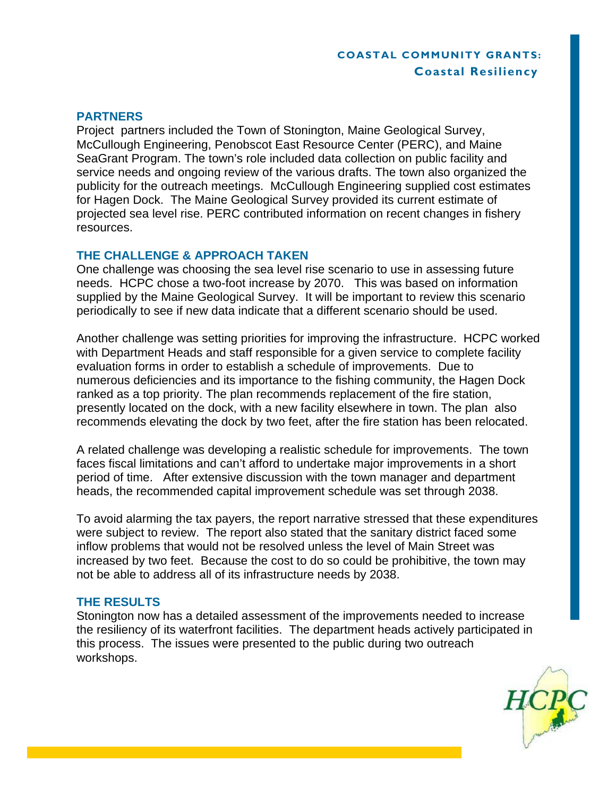# **COASTAL COMMUNITY GRANTS: Coastal Resiliency**

#### **PARTNERS**

Project partners included the Town of Stonington, Maine Geological Survey, McCullough Engineering, Penobscot East Resource Center (PERC), and Maine SeaGrant Program. The town's role included data collection on public facility and service needs and ongoing review of the various drafts. The town also organized the publicity for the outreach meetings. McCullough Engineering supplied cost estimates for Hagen Dock. The Maine Geological Survey provided its current estimate of projected sea level rise. PERC contributed information on recent changes in fishery resources.

# **THE CHALLENGE & APPROACH TAKEN**

One challenge was choosing the sea level rise scenario to use in assessing future needs. HCPC chose a two-foot increase by 2070. This was based on information supplied by the Maine Geological Survey. It will be important to review this scenario periodically to see if new data indicate that a different scenario should be used.

Another challenge was setting priorities for improving the infrastructure. HCPC worked with Department Heads and staff responsible for a given service to complete facility evaluation forms in order to establish a schedule of improvements. Due to numerous deficiencies and its importance to the fishing community, the Hagen Dock ranked as a top priority. The plan recommends replacement of the fire station, presently located on the dock, with a new facility elsewhere in town. The plan also recommends elevating the dock by two feet, after the fire station has been relocated.

A related challenge was developing a realistic schedule for improvements. The town faces fiscal limitations and can't afford to undertake major improvements in a short period of time. After extensive discussion with the town manager and department heads, the recommended capital improvement schedule was set through 2038.

To avoid alarming the tax payers, the report narrative stressed that these expenditures were subject to review. The report also stated that the sanitary district faced some inflow problems that would not be resolved unless the level of Main Street was increased by two feet. Because the cost to do so could be prohibitive, the town may not be able to address all of its infrastructure needs by 2038.

## **THE RESULTS**

Stonington now has a detailed assessment of the improvements needed to increase the resiliency of its waterfront facilities. The department heads actively participated in this process. The issues were presented to the public during two outreach workshops.

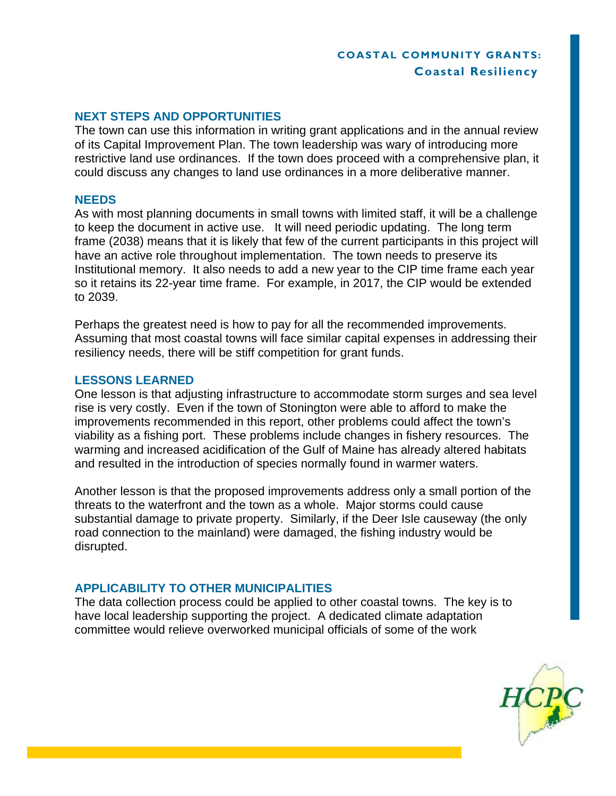# **COASTAL COMMUNITY GRANTS: Coastal Resiliency**

# **NEXT STEPS AND OPPORTUNITIES**

The town can use this information in writing grant applications and in the annual review of its Capital Improvement Plan. The town leadership was wary of introducing more restrictive land use ordinances. If the town does proceed with a comprehensive plan, it could discuss any changes to land use ordinances in a more deliberative manner.

#### **NEEDS**

As with most planning documents in small towns with limited staff, it will be a challenge to keep the document in active use. It will need periodic updating. The long term frame (2038) means that it is likely that few of the current participants in this project will have an active role throughout implementation. The town needs to preserve its Institutional memory. It also needs to add a new year to the CIP time frame each year so it retains its 22-year time frame. For example, in 2017, the CIP would be extended to 2039.

Perhaps the greatest need is how to pay for all the recommended improvements. Assuming that most coastal towns will face similar capital expenses in addressing their resiliency needs, there will be stiff competition for grant funds.

## **LESSONS LEARNED**

One lesson is that adjusting infrastructure to accommodate storm surges and sea level rise is very costly. Even if the town of Stonington were able to afford to make the improvements recommended in this report, other problems could affect the town's viability as a fishing port. These problems include changes in fishery resources. The warming and increased acidification of the Gulf of Maine has already altered habitats and resulted in the introduction of species normally found in warmer waters.

Another lesson is that the proposed improvements address only a small portion of the threats to the waterfront and the town as a whole. Major storms could cause substantial damage to private property. Similarly, if the Deer Isle causeway (the only road connection to the mainland) were damaged, the fishing industry would be disrupted.

## **APPLICABILITY TO OTHER MUNICIPALITIES**

The data collection process could be applied to other coastal towns. The key is to have local leadership supporting the project. A dedicated climate adaptation committee would relieve overworked municipal officials of some of the work